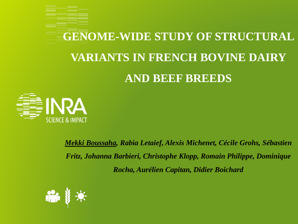



*Mekki Boussaha, Rabia Letaief, Alexis Michenet, Cécile Grohs, Sébastien Fritz, Johanna Barbieri, Christophe Klopp, Romain Philippe, Dominique Rocha, Aurélien Capitan, Didier Boichard*

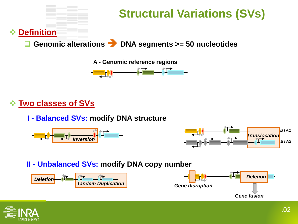



❖ **Two classes of SVs**

**I - Balanced SVs: modify DNA structure**





#### **II - Unbalanced SVs: modify DNA copy number**



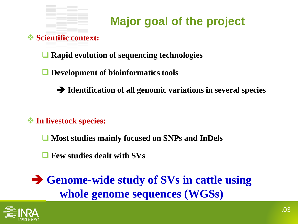

# **Major goal of the project**

❖ **Scientific context:**

❑ **Rapid evolution of sequencing technologies**

❑ **Development of bioinformatics tools** 

➔ **Identification of all genomic variations in several species**

❖ **In livestock species:**

❑ **Most studies mainly focused on SNPs and InDels**

❑ **Few studies dealt with SVs**

➔ **Genome-wide study of SVs in cattle using whole genome sequences (WGSs)**

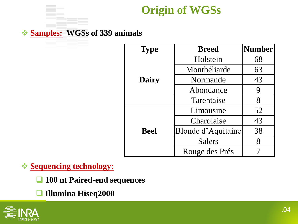

#### ❖ **Samples: WGSs of 339 animals**

| <b>Type</b> | <b>Breed</b>              | <b>Number</b> |
|-------------|---------------------------|---------------|
| Dairy       | Holstein                  | 68            |
|             | Montbéliarde              | 63            |
|             | Normande                  | 43            |
|             | Abondance                 | 9             |
|             | Tarentaise                | 8             |
| <b>Beef</b> | Limousine                 | 52            |
|             | Charolaise                | 43            |
|             | <b>Blonde d'Aquitaine</b> | 38            |
|             | <b>Salers</b>             | 8             |
|             | Rouge des Prés            |               |

❖ **Sequencing technology:**

- ❑ **100 nt Paired-end sequences**
- ❑ **Illumina Hiseq2000**

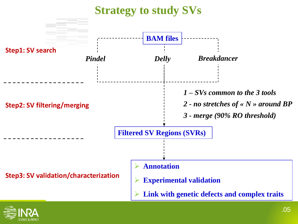

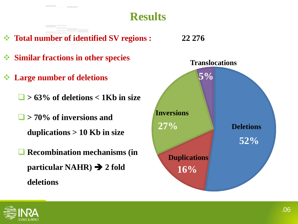

- ❖ **Total number of identified SV regions : 22 276**
- ❖ **Similar fractions in other species**
- ❖ **Large number of deletions**
	- ❑ **> 63% of deletions < 1Kb in size**
	- ❑ **> 70% of inversions and duplications > 10 Kb in size**
	- ❑ **Recombination mechanisms (in particular NAHR)** ➔ **2 fold deletions**



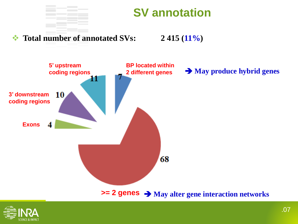

# **SV annotation**

#### ❖ **Total number of annotated SVs: 2 415 (11%)**



**>= 2 genes** ➔ **May alter gene interaction networks**

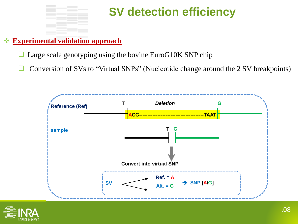

# **SV detection efficiency**

#### ❖ **Experimental validation approach**

- Large scale genotyping using the bovine EuroG10K SNP chip
- ❑ Conversion of SVs to "Virtual SNPs" (Nucleotide change around the 2 SV breakpoints)



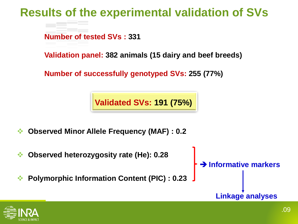# **Results of the experimental validation of SVs**

**Number of tested SVs : 331**

**Validation panel: 382 animals (15 dairy and beef breeds)**

**Number of successfully genotyped SVs: 255 (77%)**

**Validated SVs: 191 (75%)**

- ❖ **Observed Minor Allele Frequency (MAF) : 0.2**
- ❖ **Observed heterozygosity rate (He): 0.28**
- ❖ **Polymorphic Information Content (PIC) : 0.23**

➔ **Informative markers**

**Linkage analyses**

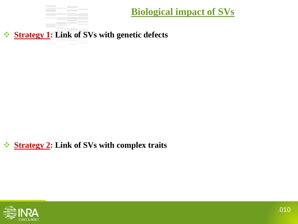

**Biological impact of SVs**

❖ **Strategy 1: Link of SVs with genetic defects**

### ❖ **Strategy 2: Link of SVs with complex traits**

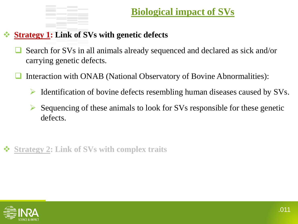### ❖ **Strategy 1: Link of SVs with genetic defects**

- Search for SVs in all animals already sequenced and declared as sick and/or carrying genetic defects.
- Interaction with ONAB (National Observatory of Bovine Abnormalities):
	- ➢ Identification of bovine defects resembling human diseases caused by SVs.
	- Sequencing of these animals to look for SVs responsible for these genetic defects.
- ❖ **Strategy 2: Link of SVs with complex traits**

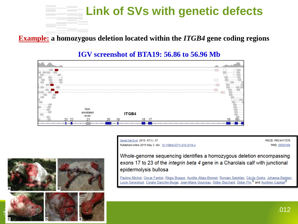

**Example: a homozygous deletion located within the** *ITGB4* **gene coding regions**

#### **IGV screenshot of BTA19: 56.86 to 56.96 Mb**



Genet Sel Evol. 2015; 47(1): 37. Published online 2015 May 3. doi: 10.1186/s12711-015-0110-z **PMCID: PMC4417276** PMID: 25935160



Whole-genome sequencing identifies a homozygous deletion encompassing exons 17 to 23 of the *integrin beta 4* gene in a Charolais calf with junctional epidermolysis bullosa

Pauline Michot, Oscar Fantini, Régis Brague, Aurélie Allais-Bonnet, Romain Saintilan, Cécile Grohs, Johanna Barbieri, Lucie Genestout, Coralie Danchin-Burge, Jean-Marie Gourreau, Didier Boichard, Didier Pin,<sup>M</sup> and Aurélien Capitan<sup>M</sup>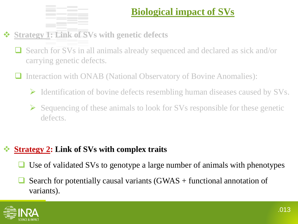

## **Biological impact of SVs**

## ❖ **Strategy 1: Link of SVs with genetic defects**

- ❑ Search for SVs in all animals already sequenced and declared as sick and/or carrying genetic defects.
- Interaction with ONAB (National Observatory of Bovine Anomalies):
	- ➢ Identification of bovine defects resembling human diseases caused by SVs.
	- ➢ Sequencing of these animals to look for SVs responsible for these genetic defects.

### ❖ **Strategy 2: Link of SVs with complex traits**

- Use of validated SVs to genotype a large number of animals with phenotypes
- Search for potentially causal variants  $(GWAS + functional)$  annotation of variants).

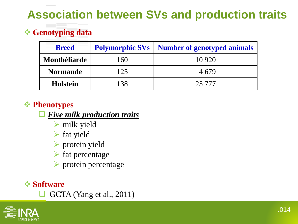# **Association between SVs and production traits**

## ❖ **Genotyping data**

| <b>Breed</b>    | <b>Polymorphic SVs</b> | <b>Number of genotyped animals</b> |
|-----------------|------------------------|------------------------------------|
| Montbéliarde    | 160                    | 10 9 20                            |
| <b>Normande</b> | 125                    | 4679                               |
| <b>Holstein</b> | 138                    | 25 777                             |

### ❖ **Phenotypes**

#### ❑ *Five milk production traits*

- ➢ milk yield
- ➢ fat yield
- ➢ protein yield
- $\triangleright$  fat percentage
- ➢ protein percentage

### ❖ **Software**

❑ GCTA (Yang et al., 2011)

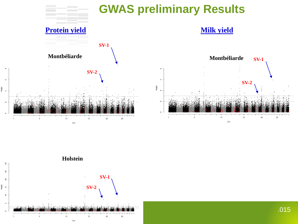

 $\circ$ 

# **GWAS preliminary Results**

**Milk yield**



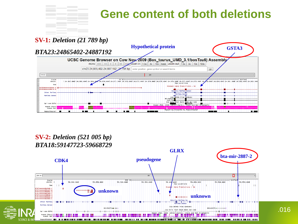

#### **SV-1:** *Deletion (21 789 bp)*



#### **SV-2:** *Deletion (521 005 bp) BTA18:59147723-59668729*



.016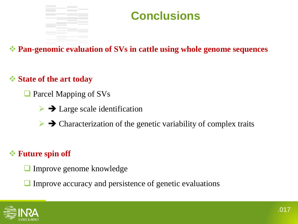

# **Conclusions**

❖ **Pan-genomic evaluation of SVs in cattle using whole genome sequences**

### ❖ **State of the art today**

- Parcel Mapping of SVs
	- $\triangleright \rightarrow$  Large scale identification
	- $\triangleright \rightarrow$  Characterization of the genetic variability of complex traits

### ❖ **Future spin off**

- ❑ Improve genome knowledge
- Improve accuracy and persistence of genetic evaluations